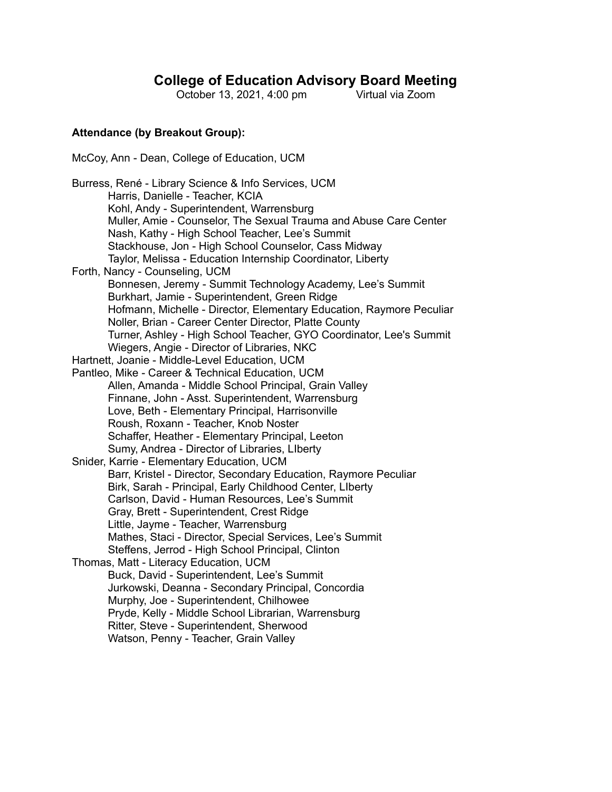# **College of Education Advisory Board Meeting**

October 13, 2021, 4:00 pm

#### **Attendance (by Breakout Group):**

McCoy, Ann - Dean, College of Education, UCM

Burress, René - Library Science & Info Services, UCM Harris, Danielle - Teacher, KCIA Kohl, Andy - Superintendent, Warrensburg Muller, Amie - Counselor, The Sexual Trauma and Abuse Care Center Nash, Kathy - High School Teacher, Lee's Summit Stackhouse, Jon - High School Counselor, Cass Midway Taylor, Melissa - Education Internship Coordinator, Liberty Forth, Nancy - Counseling, UCM Bonnesen, Jeremy - Summit Technology Academy, Lee's Summit Burkhart, Jamie - Superintendent, Green Ridge Hofmann, Michelle - Director, Elementary Education, Raymore Peculiar Noller, Brian - Career Center Director, Platte County Turner, Ashley - High School Teacher, GYO Coordinator, Lee's Summit Wiegers, Angie - Director of Libraries, NKC Hartnett, Joanie - Middle-Level Education, UCM Pantleo, Mike - Career & Technical Education, UCM Allen, Amanda - Middle School Principal, Grain Valley Finnane, John - Asst. Superintendent, Warrensburg Love, Beth - Elementary Principal, Harrisonville Roush, Roxann - Teacher, Knob Noster Schaffer, Heather - Elementary Principal, Leeton Sumy, Andrea - Director of Libraries, LIberty Snider, Karrie - Elementary Education, UCM Barr, Kristel - Director, Secondary Education, Raymore Peculiar Birk, Sarah - Principal, Early Childhood Center, LIberty Carlson, David - Human Resources, Lee's Summit Gray, Brett - Superintendent, Crest Ridge Little, Jayme - Teacher, Warrensburg Mathes, Staci - Director, Special Services, Lee's Summit Steffens, Jerrod - High School Principal, Clinton Thomas, Matt - Literacy Education, UCM Buck, David - Superintendent, Lee's Summit Jurkowski, Deanna - Secondary Principal, Concordia Murphy, Joe - Superintendent, Chilhowee Pryde, Kelly - Middle School Librarian, Warrensburg Ritter, Steve - Superintendent, Sherwood Watson, Penny - Teacher, Grain Valley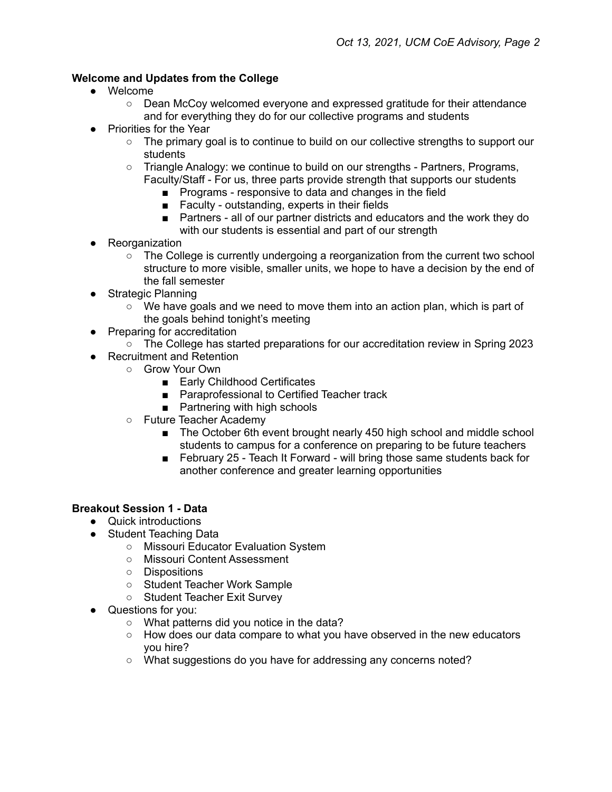## **Welcome and Updates from the College**

- Welcome
	- Dean McCoy welcomed everyone and expressed gratitude for their attendance and for everything they do for our collective programs and students
- Priorities for the Year
	- The primary goal is to continue to build on our collective strengths to support our students
	- Triangle Analogy: we continue to build on our strengths Partners, Programs, Faculty/Staff - For us, three parts provide strength that supports our students
		- Programs responsive to data and changes in the field
		- Faculty outstanding, experts in their fields
		- Partners all of our partner districts and educators and the work they do with our students is essential and part of our strength
- Reorganization
	- $\circ$  The College is currently undergoing a reorganization from the current two school structure to more visible, smaller units, we hope to have a decision by the end of the fall semester
- Strategic Planning
	- $\circ$  We have goals and we need to move them into an action plan, which is part of the goals behind tonight's meeting
- Preparing for accreditation
	- The College has started preparations for our accreditation review in Spring 2023
- Recruitment and Retention
	- Grow Your Own
		- Early Childhood Certificates
		- Paraprofessional to Certified Teacher track
		- Partnering with high schools
	- Future Teacher Academy
		- The October 6th event brought nearly 450 high school and middle school students to campus for a conference on preparing to be future teachers
		- February 25 Teach It Forward will bring those same students back for another conference and greater learning opportunities

#### **Breakout Session 1 - Data**

- Quick introductions
- Student Teaching Data
	- Missouri Educator Evaluation System
	- Missouri Content Assessment
	- Dispositions
	- Student Teacher Work Sample
	- Student Teacher Exit Survey
- Questions for you:
	- What patterns did you notice in the data?
	- $\circ$  How does our data compare to what you have observed in the new educators you hire?
	- o What suggestions do you have for addressing any concerns noted?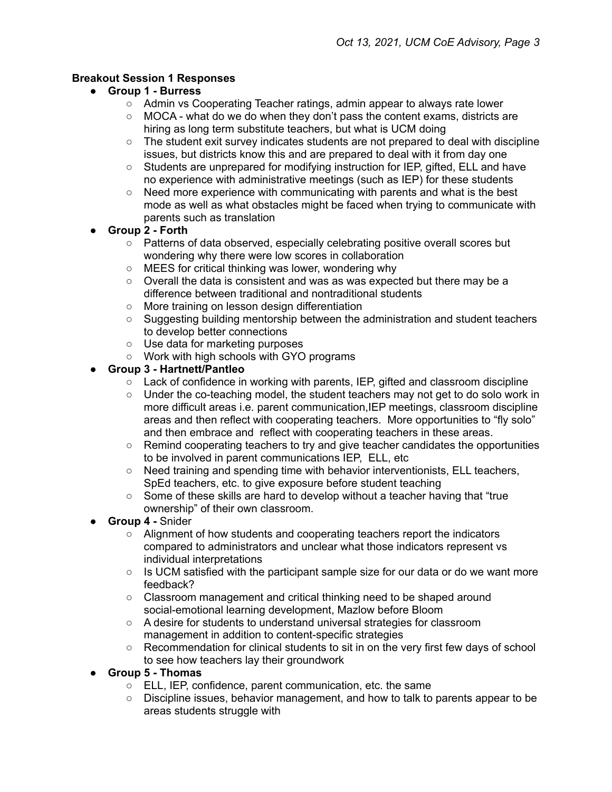## **Breakout Session 1 Responses**

- **● Group 1 - Burress**
	- Admin vs Cooperating Teacher ratings, admin appear to always rate lower
	- MOCA what do we do when they don't pass the content exams, districts are hiring as long term substitute teachers, but what is UCM doing
	- $\circ$  The student exit survey indicates students are not prepared to deal with discipline issues, but districts know this and are prepared to deal with it from day one
	- Students are unprepared for modifying instruction for IEP, gifted, ELL and have no experience with administrative meetings (such as IEP) for these students
	- Need more experience with communicating with parents and what is the best mode as well as what obstacles might be faced when trying to communicate with parents such as translation
- **● Group 2 - Forth**
	- Patterns of data observed, especially celebrating positive overall scores but wondering why there were low scores in collaboration
	- MEES for critical thinking was lower, wondering why
	- Overall the data is consistent and was as was expected but there may be a difference between traditional and nontraditional students
	- More training on lesson design differentiation
	- Suggesting building mentorship between the administration and student teachers to develop better connections
	- Use data for marketing purposes
	- Work with high schools with GYO programs

## **● Group 3 - Hartnett/Pantleo**

- $\circ$  Lack of confidence in working with parents, IEP, gifted and classroom discipline
- Under the co-teaching model, the student teachers may not get to do solo work in more difficult areas i.e. parent communication,IEP meetings, classroom discipline areas and then reflect with cooperating teachers. More opportunities to "fly solo" and then embrace and reflect with cooperating teachers in these areas.
- Remind cooperating teachers to try and give teacher candidates the opportunities to be involved in parent communications IEP, ELL, etc
- Need training and spending time with behavior interventionists, ELL teachers, SpEd teachers, etc. to give exposure before student teaching
- $\circ$  Some of these skills are hard to develop without a teacher having that "true" ownership" of their own classroom.
- **Group 4 -** Snider
	- Alignment of how students and cooperating teachers report the indicators compared to administrators and unclear what those indicators represent vs individual interpretations
	- $\circ$  Is UCM satisfied with the participant sample size for our data or do we want more feedback?
	- Classroom management and critical thinking need to be shaped around social-emotional learning development, Mazlow before Bloom
	- A desire for students to understand universal strategies for classroom management in addition to content-specific strategies
	- Recommendation for clinical students to sit in on the very first few days of school to see how teachers lay their groundwork
- **● Group 5 - Thomas**
	- ELL, IEP, confidence, parent communication, etc. the same
	- Discipline issues, behavior management, and how to talk to parents appear to be areas students struggle with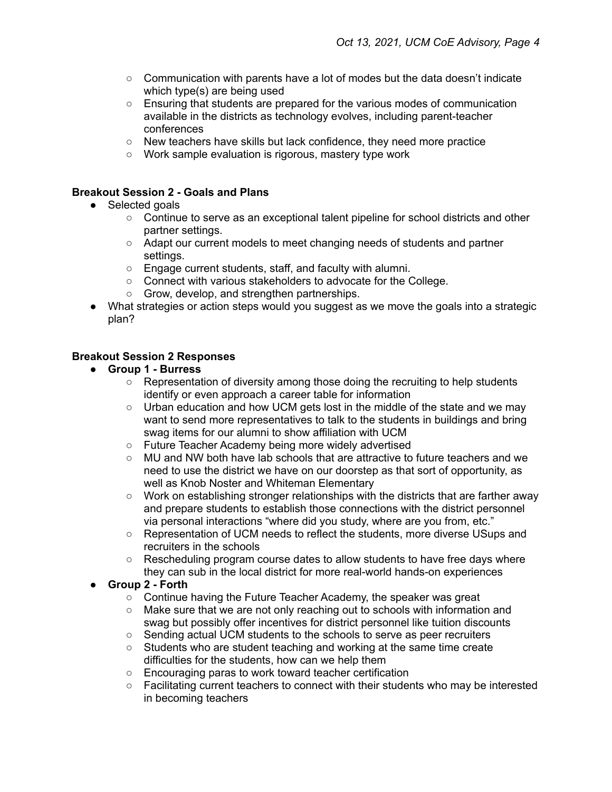- $\circ$  Communication with parents have a lot of modes but the data doesn't indicate which type(s) are being used
- Ensuring that students are prepared for the various modes of communication available in the districts as technology evolves, including parent-teacher conferences
- New teachers have skills but lack confidence, they need more practice
- Work sample evaluation is rigorous, mastery type work

## **Breakout Session 2 - Goals and Plans**

- Selected goals
	- Continue to serve as an exceptional talent pipeline for school districts and other partner settings.
	- Adapt our current models to meet changing needs of students and partner settings.
	- Engage current students, staff, and faculty with alumni.
	- Connect with various stakeholders to advocate for the College.
	- Grow, develop, and strengthen partnerships.
- What strategies or action steps would you suggest as we move the goals into a strategic plan?

## **Breakout Session 2 Responses**

- **● Group 1 - Burress**
	- $\circ$  Representation of diversity among those doing the recruiting to help students identify or even approach a career table for information
	- Urban education and how UCM gets lost in the middle of the state and we may want to send more representatives to talk to the students in buildings and bring swag items for our alumni to show affiliation with UCM
	- Future Teacher Academy being more widely advertised
	- MU and NW both have lab schools that are attractive to future teachers and we need to use the district we have on our doorstep as that sort of opportunity, as well as Knob Noster and Whiteman Elementary
	- Work on establishing stronger relationships with the districts that are farther away and prepare students to establish those connections with the district personnel via personal interactions "where did you study, where are you from, etc."
	- Representation of UCM needs to reflect the students, more diverse USups and recruiters in the schools
	- Rescheduling program course dates to allow students to have free days where they can sub in the local district for more real-world hands-on experiences

## **● Group 2 - Forth**

- Continue having the Future Teacher Academy, the speaker was great
- Make sure that we are not only reaching out to schools with information and swag but possibly offer incentives for district personnel like tuition discounts
- Sending actual UCM students to the schools to serve as peer recruiters
- Students who are student teaching and working at the same time create difficulties for the students, how can we help them
- Encouraging paras to work toward teacher certification
- Facilitating current teachers to connect with their students who may be interested in becoming teachers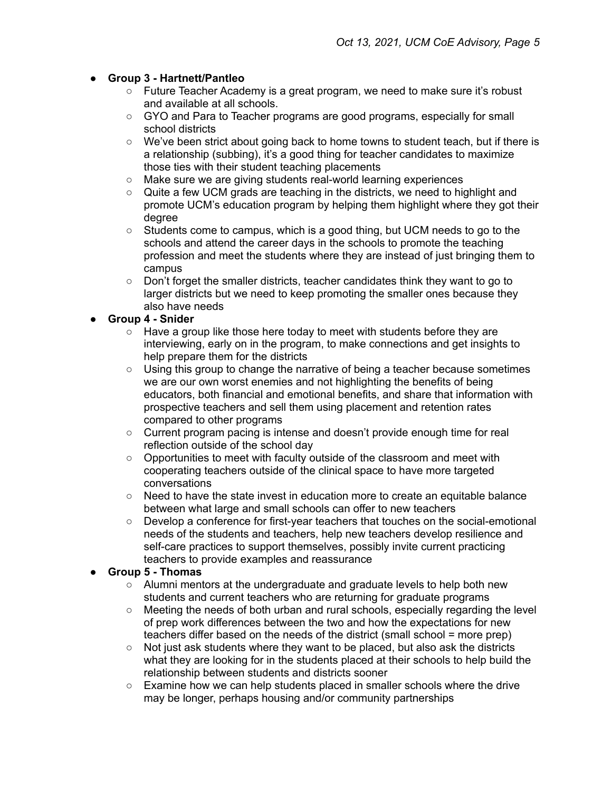## **● Group 3 - Hartnett/Pantleo**

- Future Teacher Academy is a great program, we need to make sure it's robust and available at all schools.
- GYO and Para to Teacher programs are good programs, especially for small school districts
- We've been strict about going back to home towns to student teach, but if there is a relationship (subbing), it's a good thing for teacher candidates to maximize those ties with their student teaching placements
- Make sure we are giving students real-world learning experiences
- Quite a few UCM grads are teaching in the districts, we need to highlight and promote UCM's education program by helping them highlight where they got their degree
- Students come to campus, which is a good thing, but UCM needs to go to the schools and attend the career days in the schools to promote the teaching profession and meet the students where they are instead of just bringing them to campus
- Don't forget the smaller districts, teacher candidates think they want to go to larger districts but we need to keep promoting the smaller ones because they also have needs

# **● Group 4 - Snider**

- Have a group like those here today to meet with students before they are interviewing, early on in the program, to make connections and get insights to help prepare them for the districts
- $\circ$  Using this group to change the narrative of being a teacher because sometimes we are our own worst enemies and not highlighting the benefits of being educators, both financial and emotional benefits, and share that information with prospective teachers and sell them using placement and retention rates compared to other programs
- Current program pacing is intense and doesn't provide enough time for real reflection outside of the school day
- Opportunities to meet with faculty outside of the classroom and meet with cooperating teachers outside of the clinical space to have more targeted conversations
- Need to have the state invest in education more to create an equitable balance between what large and small schools can offer to new teachers
- Develop a conference for first-year teachers that touches on the social-emotional needs of the students and teachers, help new teachers develop resilience and self-care practices to support themselves, possibly invite current practicing teachers to provide examples and reassurance

## **● Group 5 - Thomas**

- $\circ$  Alumni mentors at the undergraduate and graduate levels to help both new students and current teachers who are returning for graduate programs
- Meeting the needs of both urban and rural schools, especially regarding the level of prep work differences between the two and how the expectations for new teachers differ based on the needs of the district (small school = more prep)
- $\circ$  Not just ask students where they want to be placed, but also ask the districts what they are looking for in the students placed at their schools to help build the relationship between students and districts sooner
- $\circ$  Examine how we can help students placed in smaller schools where the drive may be longer, perhaps housing and/or community partnerships